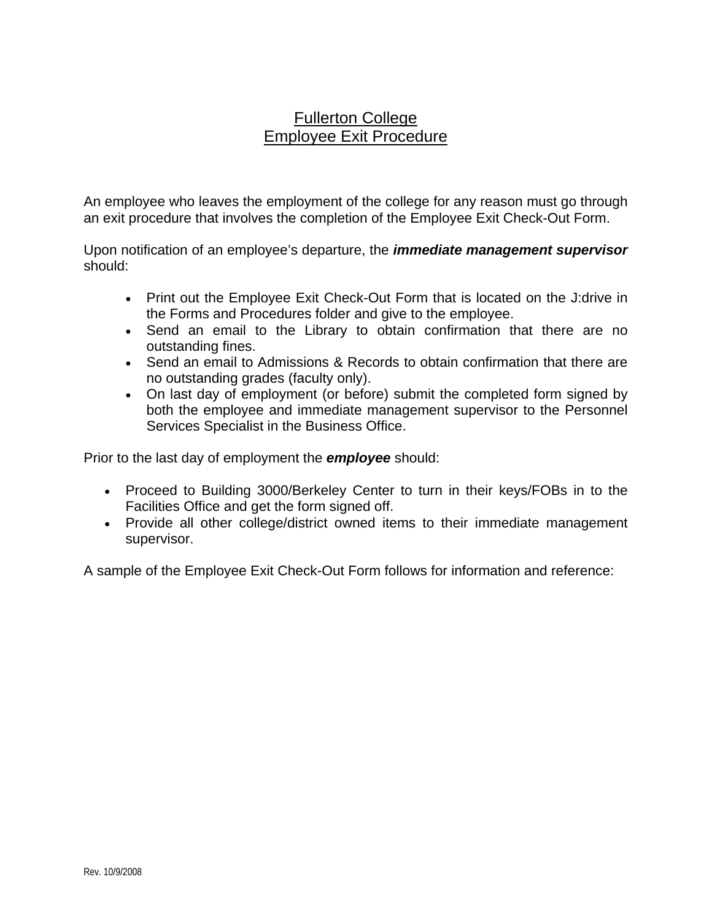## Fullerton College Employee Exit Procedure

An employee who leaves the employment of the college for any reason must go through an exit procedure that involves the completion of the Employee Exit Check-Out Form.

Upon notification of an employee's departure, the *immediate management supervisor* should:

- Print out the Employee Exit Check-Out Form that is located on the J:drive in the Forms and Procedures folder and give to the employee.
- Send an email to the Library to obtain confirmation that there are no outstanding fines.
- Send an email to Admissions & Records to obtain confirmation that there are no outstanding grades (faculty only).
- On last day of employment (or before) submit the completed form signed by both the employee and immediate management supervisor to the Personnel Services Specialist in the Business Office.

Prior to the last day of employment the *employee* should:

- Proceed to Building 3000/Berkeley Center to turn in their keys/FOBs in to the Facilities Office and get the form signed off.
- Provide all other college/district owned items to their immediate management supervisor.

A sample of the Employee Exit Check-Out Form follows for information and reference: